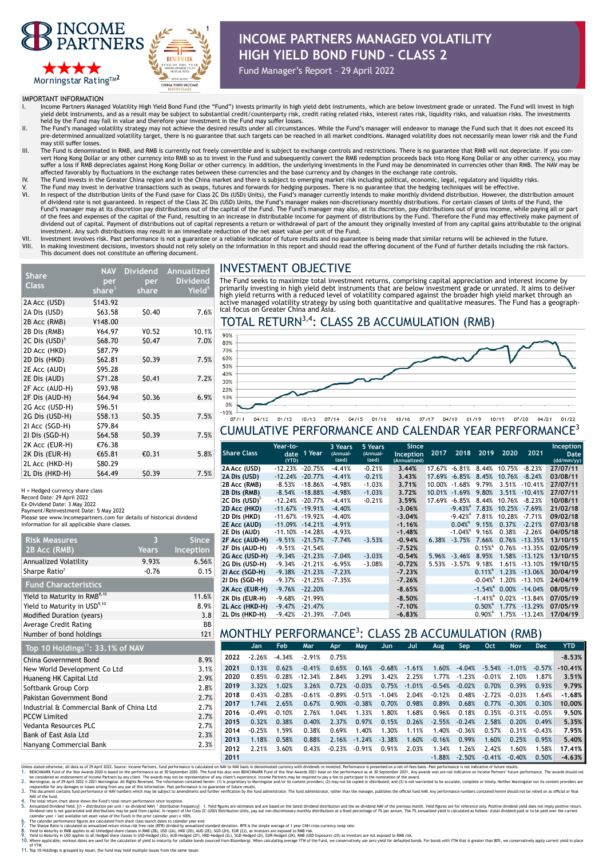



# **INCOME PARTNERS MANAGED VOLATILITY HIGH YIELD BOND FUND – CLASS 2**

Fund Manager's Report – 29 April 2022

IMPORTANT INFORMATION

- Income Partners Managed Volatility High Yield Bond Fund (the "Fund") invests primarily in high yield debt instruments, which are below investment grade or unrated. The Fund will invest in high yield debt instruments, and as a result may be subject to substantial credit/counterparty risk, credit rating related risks, interest rates risk, liquidity risks, and valuation risks. The investments
- held by the Fund may fall in value and therefore your investment in the Fund may suffer losses.<br>II. The Fund's managed volatility strategy may not achieve the desired results under all circumstances. While the Fund's manag pre-determined annualized volatility target, there is no guarantee that such targets can be reached in all market conditions. Managed volatility does not necessarily mean lower risk and the Fund may still suffer losses
- III. The Fund is denominated in RMB, and RMB is currently not freely convertible and is subject to exchange controls and restrictions. There is no guarantee that RMB will not depreciate. If you convert Hong Kong Dollar or any other currency into RMB so as to invest in the Fund and subsequently convert the RMB redemption proceeds back into Hong Kong Dollar or any other currency, you may suffer a loss if RMB depreciates against Hong Kong Dollar or other currency. In addition, the underlying investments in the Fund may be denominated in currencies other than RMB. The NAV may be
- affected favorably by fluctuations in the exchange rates between these currencies and the base currency and by changes in the exchange rate controls.<br>IV. The Fund invests in the Greater China region and in the China market
- V. The Fund may invest in derivative transactions such as swaps, futures and forwards for hedging purposes. There is no guarantee that the hedging techniques will be effective.<br>VI. In respect of the distribution of dividend rate is not guaranteed. In respect of the Class 2C Dis (USD) Units, the Fund's manager makes non-discretionary monthly distributions. For certain classes of Units of the Fund, the<br>Fund's manager may at its disc of the fees and expenses of the capital of the Fund, resulting in an increase in distributable income for payment of distributions by the Fund. Therefore the Fund may effectively make payment of dividend out of capital. Payment of distributions out of capital represents a return or withdrawal of part of the amount they originally invested of from any capital gains attributable to the original investment. Any such distributions may result in an immediate reduction of the net asset value per unit of the Fund.
- VII. Investment involves risk. Past performance is not a guarantee or a reliable indicator of future results and no guarantee is being made that similar returns will be achieved in the future future.<br>VIII. In making invest In making investment decisions, investors should not rely solely on the information in this report and should read the offering document of the Fund of further details including the risk factors. This document does not constitute an offering document.

# INVESTMENT OBJECTIVE

| Share                     | <b>NAV</b> | <b>Dividend</b> | Annualized         |  |  |
|---------------------------|------------|-----------------|--------------------|--|--|
|                           | per        | per             | <b>Dividend</b>    |  |  |
| <b>Class</b>              | share $3$  | share           | Yield <sup>5</sup> |  |  |
| 2A Acc (USD)              | \$143.92   |                 |                    |  |  |
| 2A Dis (USD)              | \$63.58    | \$0.40          | 7.6%               |  |  |
| 2B Acc (RMB)              | ¥148.00    |                 |                    |  |  |
| 2B Dis (RMB)              | ¥64.97     | ¥0.52           | 10.1%              |  |  |
| 2C Dis (USD) <sup>5</sup> | \$68.70    | \$0.47          | 7.0%               |  |  |
| 2D Acc (HKD)              | \$87.79    |                 |                    |  |  |
| 2D Dis (HKD)              | \$62.81    | \$0.39          | 7.5%               |  |  |
| 2E Acc (AUD)              | \$95.28    |                 |                    |  |  |
| 2E Dis (AUD)              | \$71.28    | \$0.41          | 7.2%               |  |  |
| 2F Acc (AUD-H)            | \$93.98    |                 |                    |  |  |
| 2F Dis (AUD-H)            | \$64.94    | \$0.36          | 6.9%               |  |  |
| 2G Acc (USD-H)            | \$96.51    |                 |                    |  |  |
| 2G Dis (USD-H)            | \$58.13    | \$0.35          | 7.5%               |  |  |
| 21 Acc (SGD-H)            | \$79.84    |                 |                    |  |  |
| 21 Dis (SGD-H)            | \$64.58    | \$0.39          | 7.5%               |  |  |
| 2K Acc (EUR-H)            | €76.38     |                 |                    |  |  |
| 2K Dis (EUR-H)            | €65.81     | €0.31           | 5.8%               |  |  |
| 2L Acc (HKD-H)            | \$80.29    |                 |                    |  |  |
| 2L Dis (HKD-H)            | \$64.49    | \$0.39          | 7.5%               |  |  |

H = Hedged currency share class

Record Date: 29 April 2022

Ex-Dividend Date: 3 May 2022 Payment/Reinvestment Date: 5 May 2022

Please see www.incomepartners.com for details of historical dividend information for all applicable share classes.

| <b>Risk Measures</b>                         | З            | <b>Since</b> |  |  |  |  |  |  |  |
|----------------------------------------------|--------------|--------------|--|--|--|--|--|--|--|
| 2B Acc (RMB)                                 | <b>Years</b> | Inception    |  |  |  |  |  |  |  |
| Annualized Volatility                        | 9.93%        | 6.56%        |  |  |  |  |  |  |  |
| Sharpe Ratio <sup>7</sup>                    | $-0.76$      | 0.15         |  |  |  |  |  |  |  |
| <b>Fund Characteristics</b>                  |              |              |  |  |  |  |  |  |  |
| Yield to Maturity in RMB <sup>8,10</sup>     | 11.6%        |              |  |  |  |  |  |  |  |
| Yield to Maturity in USD <sup>9,10</sup>     | 8.9%         |              |  |  |  |  |  |  |  |
| <b>Modified Duration (years)</b>             | 3.8          |              |  |  |  |  |  |  |  |
| Average Credit Rating                        | ВB           |              |  |  |  |  |  |  |  |
| Number of bond holdings                      | 121          |              |  |  |  |  |  |  |  |
| Top 10 Holdings <sup>11</sup> : 33.1% of NAV |              |              |  |  |  |  |  |  |  |
| China Covernment Road                        | 0.00         |              |  |  |  |  |  |  |  |

| China Government Bond                     | 8.9% |
|-------------------------------------------|------|
| New World Development Co Ltd              | 3.1% |
| Huaneng HK Capital Ltd                    | 2.9% |
| Softbank Group Corp                       | 2.8% |
| Pakistan Government Bond                  | 2.7% |
| Industrial & Commercial Bank of China Ltd | 2.7% |
| <b>PCCW Limited</b>                       | 2.7% |
| Vedanta Resources PLC                     | 2.7% |
| Bank of East Asia Ltd                     | 2.3% |
| Nanyang Commercial Bank                   | 2.3% |

The Fund seeks to maximize total investment returns, comprising capital appreciation and interest income by primarily investing in high yield debt instruments that are below investment grade or unrated. It aims to deliver high yield returns with a reduced level of volatility compared against the broader high yield market through an<br>active managed volatility strategy by using both quantitative and qualitative measures. The Fund has a geograp

## TOTAL RETURN<sup>3,4</sup>: CLASS 2B ACCUMULATION (RMB)



### CUMULATIVE PERFORMANCE AND CALENDAR YEAR PERFORMANCE3

| <b>Share Class</b><br>2018<br>2020<br>1 Year<br>2017<br>2019<br>2021<br>Inception<br>date<br>(Annual-<br>(Annual-<br>ized)<br>ized)<br>(YTD)<br>(Annualized)<br>$-12.23%$<br>3.44%<br>2A Acc (USD)<br>$-20.75%$<br>$-4.41%$<br>$-0.21%$<br>$-6.81%$<br>8.44%<br>$-8.23%$<br>17.67%<br>10.75%<br>$-12.24%$<br>$-20.77%$<br>2A Dis (USD)<br>$-0.21%$<br>3.43%<br>17.69%<br>$-6.85%$<br>8.45%<br>10.76%<br>$-8.24%$<br>$-4.41%$<br>$-8.53%$<br>2B Acc (RMB)<br>$-18.86%$<br>$-4.98%$<br>$-1.03%$<br>3.71%<br>10.00%<br>$-1.68%$<br>9.79%<br>3.51%<br>$-10.41%$ | Date<br>(dd/mm/yy)<br>27/07/11<br>03/08/11 |
|-------------------------------------------------------------------------------------------------------------------------------------------------------------------------------------------------------------------------------------------------------------------------------------------------------------------------------------------------------------------------------------------------------------------------------------------------------------------------------------------------------------------------------------------------------------|--------------------------------------------|
|                                                                                                                                                                                                                                                                                                                                                                                                                                                                                                                                                             |                                            |
|                                                                                                                                                                                                                                                                                                                                                                                                                                                                                                                                                             |                                            |
|                                                                                                                                                                                                                                                                                                                                                                                                                                                                                                                                                             |                                            |
|                                                                                                                                                                                                                                                                                                                                                                                                                                                                                                                                                             | 27/07/11                                   |
| $-1.03%$<br>3.72%<br>9.80%<br>$-10.41%$<br>2B Dis (RMB)<br>$-8.54%$<br>$-18.88%$<br>$-4.98%$<br>10.01%<br>$-1.69%$<br>3.51%                                                                                                                                                                                                                                                                                                                                                                                                                                 | 27/07/11                                   |
| 2C Dis (USD) <sup>5</sup><br>$-12.24%$<br>$-20.77%$<br>3.59%<br>$-6.85%$<br>8.44%<br>$-8.23%$<br>$-4.41%$<br>$-0.21%$<br>17.69%<br>10.76%                                                                                                                                                                                                                                                                                                                                                                                                                   | 10/08/11                                   |
| $-9.43\%$ <sup>6</sup> 7.83%<br>2D Acc (HKD)<br>10.25%<br>$-7.69%$<br>$-11.67\% -19.91\%$<br>$-4.40%$<br>$-3.06%$                                                                                                                                                                                                                                                                                                                                                                                                                                           | 21/02/18                                   |
| $-9.42%$<br>7.81%<br>10.28%<br>$-11.67%$<br>$-19.92%$<br>$-7.71%$<br>2D Dis (HKD)<br>$-4.40%$<br>$-3.04%$                                                                                                                                                                                                                                                                                                                                                                                                                                                   | 09/02/18                                   |
| 0.04%<br>9.15%<br>0.37%<br>2E Acc (AUD)<br>$-11.09\% -14.21\%$<br>$-1.16%$<br>$-2.21%$<br>$-4.91%$                                                                                                                                                                                                                                                                                                                                                                                                                                                          | 07/03/18                                   |
| $-1.04%$<br>2E Dis (AUD)<br>$-11.10%$<br>9.16%<br>0.38%<br>$-14.28%$<br>$-4.93%$<br>$-1.48%$<br>$-2.26%$                                                                                                                                                                                                                                                                                                                                                                                                                                                    | 04/05/18                                   |
| $-21.57%$<br>7.66%<br>$-13.35%$<br>2F Acc (AUD-H)<br>$-9.51%$<br>$-3.53%$<br>$-0.94%$<br>$-3.75%$<br>0.76%<br>$-7.74%$<br>6.38%                                                                                                                                                                                                                                                                                                                                                                                                                             | 13/10/15                                   |
| 0.15%<br>2F Dis (AUD-H)<br>0.76%<br>$-13.35%$<br>$-9.51%$<br>$-21.54%$<br>$-7.52%$                                                                                                                                                                                                                                                                                                                                                                                                                                                                          | 02/05/19                                   |
| 2G Acc (USD-H)<br>$-21.23%$<br>$-0.54%$<br>8.95%<br>1.58%<br>$-13.12%$<br>$-9.34%$<br>$-7.04%$<br>$-3.03%$<br>$-3.46%$<br>5.96%                                                                                                                                                                                                                                                                                                                                                                                                                             | 13/10/15                                   |
| 9.18%<br>2G Dis (USD-H)<br>$-21.21%$<br>$-6.95%$<br>$-3.57%$<br>1.61%<br>$-13.10%$<br>$-9.34%$<br>$-3.08%$<br>$-0.72%$<br>5.53%                                                                                                                                                                                                                                                                                                                                                                                                                             | 19/10/15                                   |
| $0.11\%$ <sup>6</sup><br>1.23%<br>21 Acc (SGD-H)<br>$-13.06%$<br>$-21.23%$<br>$-7.23%$<br>$-9.38%$<br>$-7.23%$                                                                                                                                                                                                                                                                                                                                                                                                                                              | 30/04/19                                   |
| $-0.04%$<br>1.20%<br>$-13.10%$<br>21 Dis (SGD-H)<br>$-9.37%$<br>$-21.25%$<br>$-7.35%$<br>$-7.26%$                                                                                                                                                                                                                                                                                                                                                                                                                                                           | 24/04/19                                   |
| $-1.54%$<br>0.00%<br>$-14.04%$<br>$-22.20%$<br>2K Acc (EUR-H)<br>$-9.76%$<br>$-8.65%$                                                                                                                                                                                                                                                                                                                                                                                                                                                                       | 08/05/19                                   |
| $-1.41%$<br>0.02%<br>$-13.84%$<br>$-9.68%$<br>$-8.50%$<br>2K Dis (EUR-H)<br>$-21.99%$                                                                                                                                                                                                                                                                                                                                                                                                                                                                       | 07/05/19                                   |
| 0.50%<br>2L Acc (HKD-H)<br>1.77%<br>$-13.29%$<br>$-9.47%$<br>$-7.10%$<br>$-21.47%$                                                                                                                                                                                                                                                                                                                                                                                                                                                                          | 07/05/19                                   |
| 0.90%<br>$-13.24%$<br>2L Dis (HKD-H)<br>$-9.42%$<br>1.75%<br>$-21.39%$<br>$-6.83%$<br>$-7.04%$                                                                                                                                                                                                                                                                                                                                                                                                                                                              | 17/04/19                                   |

## MONTHLY PERFORMANCE3 : CLASS 2B ACCUMULATION (RMB)

| <b>VAV</b> |      |      | Jan.     | <b>Feb</b> | Mar       | <b>Apr</b> | May.     | Jun.     | Jul      | Aug      | Sep      | Oct      | <b>Nov</b> | <b>Dec</b> | <b>YTD</b> |
|------------|------|------|----------|------------|-----------|------------|----------|----------|----------|----------|----------|----------|------------|------------|------------|
|            | 8.9% | 2022 | $-2.26%$ | $-4.34%$   | $-2.91%$  | 0.75%      |          |          |          |          |          |          |            |            | $-8.53%$   |
|            | 3.1% | 2021 | 0.13%    | 0.62%      | $-0.41%$  | 0.65%      | 0.16%    | $-0.68%$ | $-1.61%$ | 1.60%    | $-4.04%$ | $-5.54%$ | $-1.01%$   | $-0.57%$   | $-10.41\%$ |
|            | 2.9% | 2020 | 0.85%    | $-0.28%$   | $-12.34%$ | 2.84%      | 3.29%    | 3.42%    | 2.25%    | 1.77%    | $-1.23%$ | $-0.01%$ | 2.10%      | 1.87%      | 3.51%      |
|            | 2.8% | 2019 | 3.32%    | 1.02%      | 3.26%     | 0.72%      | $-0.03%$ | 0.75%    | $-1.01%$ | $-0.54%$ | $-0.02%$ | 0.70%    | 0.39%      | 0.93%      | 9.79%      |
|            | 2.7% | 2018 | 0.43%    | $-0.28%$   | $-0.61%$  | $-0.89%$   | $-0.51%$ | $-1.04%$ | 2.04%    | $-0.12%$ | 0.48%    | $-2.72%$ | $-0.03%$   | 1.64%      | $-1.68%$   |
| hina Ltd   | 2.7% | 2017 | 1.74%    | 2.65%      | 0.67%     | 0.90%      | $-0.38%$ | 0.70%    | 0.98%    | 0.89%    | 0.68%    | 0.77%    | $-0.30%$   | 0.30%      | 10.00%     |
|            | 2.7% | 2016 | $-0.49%$ | $-0.10%$   | 2.76%     | 1.04%      | 1.33%    | 1.80%    | 1.68%    | 0.96%    | 0.18%    | 0.35%    | $-0.31%$   | $-0.05%$   | 9.50%      |
|            | 2.7% | 2015 | 0.32%    | 0.38%      | 0.40%     | 2.37%      | 0.97%    | 0.15%    | 0.26%    | $-2.55%$ | $-0.24%$ | 2.58%    | 0.20%      | 0.49%      | 5.35%      |
|            | 2.3% | 2014 | $-0.25%$ | 1.59%      | 0.38%     | 0.69%      | 1.40%    | 1.30%    | 1.11%    | 1.40%    | $-0.36%$ | 0.57%    | 0.31%      | $-0.43%$   | 7.95%      |
|            | 2.3% | 2013 | 1.18%    | 0.58%      | 0.88%     | 2.16%      | $-1.24%$ | $-3.38%$ | 1.60%    | $-0.16%$ | 0.99%    | 1.60%    | 0.25%      | 0.95%      | 5.40%      |
|            |      | 2012 | 2.21%    | 3.60%      | 0.43%     | $-0.23%$   | $-0.91%$ | 0.91%    | 2.03%    | 1.34%    | 1.26%    | 2.42%    | 1.60%      | 1.58%      | 17.41%     |
|            |      | 2011 |          |            |           |            |          |          |          | $-1.88%$ | $-2.50%$ | $-0.41%$ | $-0.40%$   | 0.50%      | $-4.63%$   |

Units stated otherwise, all data as 19 and a state of the enterpresenter in the enterpresent in the state of the state of the state of the state of the state of the state of the state of the state of the state of the state

NW of the fund.<br>4. The total return chart above shows the Fund's total return performance since inception.<br>5. Annualtzed Dividend Well: (I + distributions may be paid from capital. In respect of the Class 2C (USD) Distribu

9. Yield to Maturity in US applies to all Hedged share classes in US-Hedged (2G), AID-Hedged (2F), HiD-Hedged (2D), SCD-Hedged (2D), EUR-Hedged (2N), Bulk and the Calculation of yield to maturity for callable bonds (source

of YTM 11. Top 10 Holdings is grouped by issuer, the fund may hold multiple issues from the same issuer.